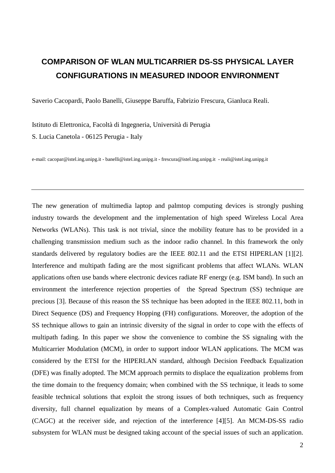## **COMPARISON OF WLAN MULTICARRIER DS-SS PHYSICAL LAYER CONFIGURATIONS IN MEASURED INDOOR ENVIRONMENT**

Saverio Cacopardi, Paolo Banelli, Giuseppe Baruffa, Fabrizio Frescura, Gianluca Reali.

Istituto di Elettronica, Facoltà di Ingegneria, Università di Perugia S. Lucia Canetola - 06125 Perugia - Italy

e-mail: cacopar@istel.ing.unipg.it - banelli@istel.ing.unipg.it - frescura@istel.ing.unipg.it - reali@istel.ing.unipg.it

The new generation of multimedia laptop and palmtop computing devices is strongly pushing industry towards the development and the implementation of high speed Wireless Local Area Networks (WLANs). This task is not trivial, since the mobility feature has to be provided in a challenging transmission medium such as the indoor radio channel. In this framework the only standards delivered by regulatory bodies are the IEEE 802.11 and the ETSI HIPERLAN [1][2]. Interference and multipath fading are the most significant problems that affect WLANs. WLAN applications often use bands where electronic devices radiate RF energy (e.g. ISM band). In such an environment the interference rejection properties of the Spread Spectrum (SS) technique are precious [3]. Because of this reason the SS technique has been adopted in the IEEE 802.11, both in Direct Sequence (DS) and Frequency Hopping (FH) configurations. Moreover, the adoption of the SS technique allows to gain an intrinsic diversity of the signal in order to cope with the effects of multipath fading. In this paper we show the convenience to combine the SS signaling with the Multicarrier Modulation (MCM), in order to support indoor WLAN applications. The MCM was considered by the ETSI for the HIPERLAN standard, although Decision Feedback Equalization (DFE) was finally adopted. The MCM approach permits to displace the equalization problems from the time domain to the frequency domain; when combined with the SS technique, it leads to some feasible technical solutions that exploit the strong issues of both techniques, such as frequency diversity, full channel equalization by means of a Complex-valued Automatic Gain Control (CAGC) at the receiver side, and rejection of the interference [4][5]. An MCM-DS-SS radio subsystem for WLAN must be designed taking account of the special issues of such an application.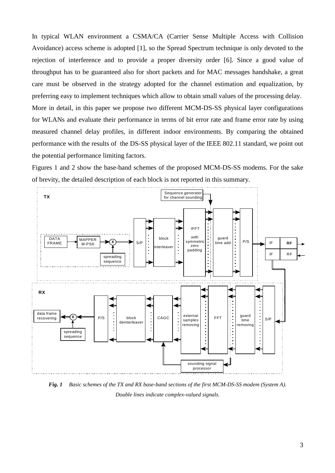In typical WLAN environment a CSMA/CA (Carrier Sense Multiple Access with Collision Avoidance) access scheme is adopted [1], so the Spread Spectrum technique is only devoted to the rejection of interference and to provide a proper diversity order [6]. Since a good value of throughput has to be guaranteed also for short packets and for MAC messages handshake, a great care must be observed in the strategy adopted for the channel estimation and equalization, by preferring easy to implement techniques which allow to obtain small values of the processing delay. More in detail, in this paper we propose two different MCM-DS-SS physical layer configurations for WLANs and evaluate their performance in terms of bit error rate and frame error rate by using measured channel delay profiles, in different indoor environments. By comparing the obtained performance with the results of the DS-SS physical layer of the IEEE 802.11 standard, we point out the potential performance limiting factors.

Figures 1 and 2 show the base-band schemes of the proposed MCM-DS-SS modems. For the sake of brevity, the detailed description of each block is not reported in this summary.



*Fig. 1 Basic schemes of the TX and RX base-band sections of the first MCM-DS-SS modem (System A). Double lines indicate complex-valued signals.*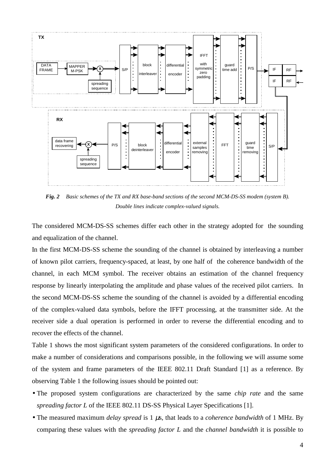

*Fig. 2 Basic schemes of the TX and RX base-band sections of the second MCM-DS-SS modem (system B). Double lines indicate complex-valued signals.* 

The considered MCM-DS-SS schemes differ each other in the strategy adopted for the sounding and equalization of the channel.

In the first MCM-DS-SS scheme the sounding of the channel is obtained by interleaving a number of known pilot carriers, frequency-spaced, at least, by one half of the coherence bandwidth of the channel, in each MCM symbol. The receiver obtains an estimation of the channel frequency response by linearly interpolating the amplitude and phase values of the received pilot carriers. In the second MCM-DS-SS scheme the sounding of the channel is avoided by a differential encoding of the complex-valued data symbols, before the IFFT processing, at the transmitter side. At the receiver side a dual operation is performed in order to reverse the differential encoding and to recover the effects of the channel.

Table 1 shows the most significant system parameters of the considered configurations. In order to make a number of considerations and comparisons possible, in the following we will assume some of the system and frame parameters of the IEEE 802.11 Draft Standard [1] as a reference. By observing Table 1 the following issues should be pointed out:

- The proposed system configurations are characterized by the same *chip rate* and the same *spreading factor L* of the IEEE 802.11 DS-SS Physical Layer Specifications [1].
- The measured maximum *delay spread* is 1 µs, that leads to a *coherence bandwidth* of 1 MHz. By comparing these values with the *spreading factor L* and the *channel bandwidth* it is possible to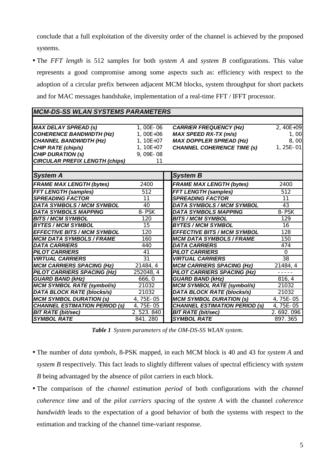conclude that a full exploitation of the diversity order of the channel is achieved by the proposed systems.

• The *FFT length* is 512 samples for both *system A* and *system B* configurations. This value represents a good compromise among some aspects such as: efficiency with respect to the adoption of a circular prefix between adjacent MCM blocks, system throughput for short packets and for MAC messages handshake, implementation of a real-time FFT / IFFT processor.

| <i>MCM-DS-SS WLAN SYSIEMS PARAMEIERS</i> |                 |                                      |                 |
|------------------------------------------|-----------------|--------------------------------------|-----------------|
|                                          |                 |                                      |                 |
| <b>MAX DELAY SPREAD (s)</b>              | 1,00E-06        | <b>CARRIER FREQUENCY (Hz)</b>        | 2, 40E+09       |
| <b>COHERENCE BANDWIDTH (Hz)</b>          | $1,00E+06$      | <b>MAX SPEED RX-TX (m/s)</b>         | 1,00            |
| <b>CHANNEL BANDWIDTH (Hz)</b>            | $1, 10E + 07$   | <b>MAX DOPPLER SPREAD (Hz)</b>       | 8,00            |
| CHIP RATE (chip/s)                       | $1, 10E + 07$   | <b>CHANNEL COHERENCE TIME (s)</b>    | $1, 25E - 01$   |
| <b>CHIP DURATION (s)</b>                 | 9,09E-08        |                                      |                 |
| <b>CIRCULAR PREFIX LENGTH (chips)</b>    | 11              |                                      |                 |
|                                          |                 |                                      |                 |
| <b>System A</b>                          |                 | <b>System B</b>                      |                 |
| <b>FRAME MAX LENGTH (bytes)</b>          | 2400            | <b>FRAME MAX LENGTH (bytes)</b>      | 2400            |
| <b>FFT LENGTH (samples)</b>              | 512             | <b>FFT LENGTH (samples)</b>          | 512             |
| <b>SPREADING FACTOR</b>                  | 11              | <b>SPREADING FACTOR</b>              | 11              |
| <b>DATA SYMBOLS / MCM SYMBOL</b>         | 40              | <b>DATA SYMBOLS / MCM SYMBOL</b>     | 43              |
| <b>DATA SYMBOLS MAPPING</b>              | 8-PSK           | <b>DATA SYMBOLS MAPPING</b>          | 8-PSK           |
| <b>BITS / MCM SYMBOL</b>                 | 120             | <b>BITS / MCM SYMBOL</b>             | 129             |
| <b>BYTES / MCM SYMBOL</b>                | 15              | <b>BYTES / MCM SYMBOL</b>            | 16              |
| <b>EFFECTIVE BITS / MCM SYMBOL</b>       | 120             | <b>EFFECTIVE BITS / MCM SYMBOL</b>   | 128             |
| <b>MCM DATA SYMBOLS / FRAME</b>          | 160             | <b>MCM DATA SYMBOLS / FRAME</b>      | 150             |
| <b>DATA CARRIERS</b>                     | 440             | <b>DATA CARRIERS</b>                 | 474             |
| <b>PILOT CARRIERS</b>                    | 41              | <b>PILOT CARRIERS</b>                | $\Omega$        |
| <b>VIRTUAL CARRIERS</b>                  | $\overline{31}$ | <b>VIRTUAL CARRIERS</b>              | $\overline{38}$ |
| <b>MCM CARRIERS SPACING (Hz)</b>         | 21484, 4        | <b>MCM CARRIERS SPACING (Hz)</b>     | 21484, 4        |
| PILOT CARRIERS SPACING (Hz)              | 252048, 4       | <b>PILOT CARRIERS SPACING (Hz)</b>   | -----           |
| <b>GUARD BAND (kHz)</b>                  | 666, 0          | <b>GUARD BAND (kHz)</b>              | 816, 4          |
| <b>MCM SYMBOL RATE (symbol/s)</b>        | 21032           | <b>MCM SYMBOL RATE (symbol/s)</b>    | 21032           |
| <b>DATA BLOCK RATE (blocks/s)</b>        | 21032           | <b>DATA BLOCK RATE (blocks/s)</b>    | 21032           |
| <b>MCM SYMBOL DURATION (s)</b>           | $4,75E-05$      | <b>MCM SYMBOL DURATION (s)</b>       | 4,75E-05        |
| <b>CHANNEL ESTIMATION PERIOD (s)</b>     | 4,75E-05        | <b>CHANNEL ESTIMATION PERIOD (s)</b> | 4,75E-05        |
| <b>BIT RATE (bit/sec)</b>                | 2.523.840       | <b>BIT RATE (bit/sec)</b>            | 2.692.096       |
| <b>SYMBOL RATE</b>                       | 841.280         | <b>SYMBOL RATE</b>                   | 897.365         |

*MCM-DS-SS WLAN SYSTEMS PARAMETERS*

*Table 1 System parameters of the OM-DS-SS WLAN system.* 

- The number of *data symbols*, 8-PSK mapped, in each MCM block is 40 and 43 for *system A* and *system B* respectively. This fact leads to slightly different values of spectral efficiency with *system B* being advantaged by the absence of pilot carriers in each block.
- The comparison of the *channel estimation period* of both configurations with the *channel coherence time* and of the *pilot carriers spacing* of the *system A* with the channel *coherence bandwidth* leads to the expectation of a good behavior of both the systems with respect to the estimation and tracking of the channel time-variant response.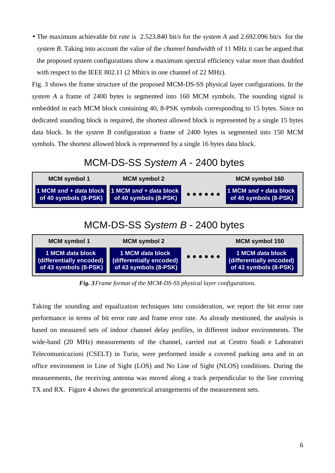• The maximum achievable *bit rate* is 2.523.840 bit/s for the *system A* and 2.692.096 bit/s for the *system B*. Taking into account the value of the *channel bandwidth* of 11 MHz it can be argued that the proposed system configurations show a maximum spectral efficiency value more than doubled with respect to the IEEE 802.11 (2 Mbit/s in one channel of 22 MHz).

Fig. 3 shows the frame structure of the proposed MCM-DS-SS physical layer configurations. In the *system A* a frame of 2400 bytes is segmented into 160 MCM symbols. The sounding signal is embedded in each MCM block containing 40, 8-PSK symbols corresponding to 15 bytes. Since no dedicated sounding block is required, the shortest allowed block is represented by a single 15 bytes data block. In the *system B* configuration a frame of 2400 bytes is segmented into 150 MCM symbols. The shortest allowed block is represented by a single 16 bytes data block.

## MCM-DS-SS *System A* - 2400 bytes



## MCM-DS-SS *System B* - 2400 bytes



*Fig. 3 Frame format of the MCM-DS-SS physical layer configurations.* 

Taking the sounding and equalization techniques into consideration, we report the bit error rate performance in terms of bit error rate and frame error rate. As already mentioned, the analysis is based on measured sets of indoor channel delay profiles, in different indoor environments. The wide-band (20 MHz) measurements of the channel, carried out at Centro Studi e Laboratori Telecomunicazioni (CSELT) in Turin, were performed inside a covered parking area and in an office environment in Line of Sight (LOS) and No Line of Sight (NLOS) conditions. During the measurements, the receiving antenna was moved along a track perpendicular to the line covering TX and RX. Figure 4 shows the geometrical arrangements of the measurement sets.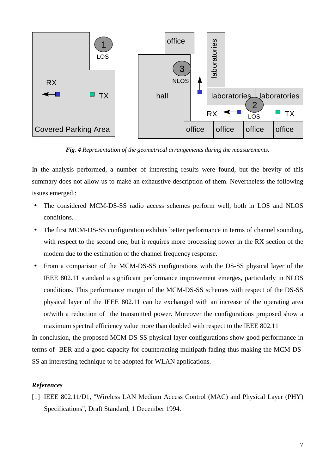

*Fig. 4 Representation of the geometrical arrangements during the measurements*.

In the analysis performed, a number of interesting results were found, but the brevity of this summary does not allow us to make an exhaustive description of them. Nevertheless the following issues emerged :

- The considered MCM-DS-SS radio access schemes perform well, both in LOS and NLOS conditions.
- The first MCM-DS-SS configuration exhibits better performance in terms of channel sounding, with respect to the second one, but it requires more processing power in the RX section of the modem due to the estimation of the channel frequency response.
- From a comparison of the MCM-DS-SS configurations with the DS-SS physical layer of the IEEE 802.11 standard a significant performance improvement emerges, particularly in NLOS conditions. This performance margin of the MCM-DS-SS schemes with respect of the DS-SS physical layer of the IEEE 802.11 can be exchanged with an increase of the operating area or/with a reduction of the transmitted power. Moreover the configurations proposed show a maximum spectral efficiency value more than doubled with respect to the IEEE 802.11

In conclusion, the proposed MCM-DS-SS physical layer configurations show good performance in terms of BER and a good capacity for counteracting multipath fading thus making the MCM-DS-SS an interesting technique to be adopted for WLAN applications.

## *References*

[1] IEEE 802.11/D1, "Wireless LAN Medium Access Control (MAC) and Physical Layer (PHY) Specifications", Draft Standard, 1 December 1994.